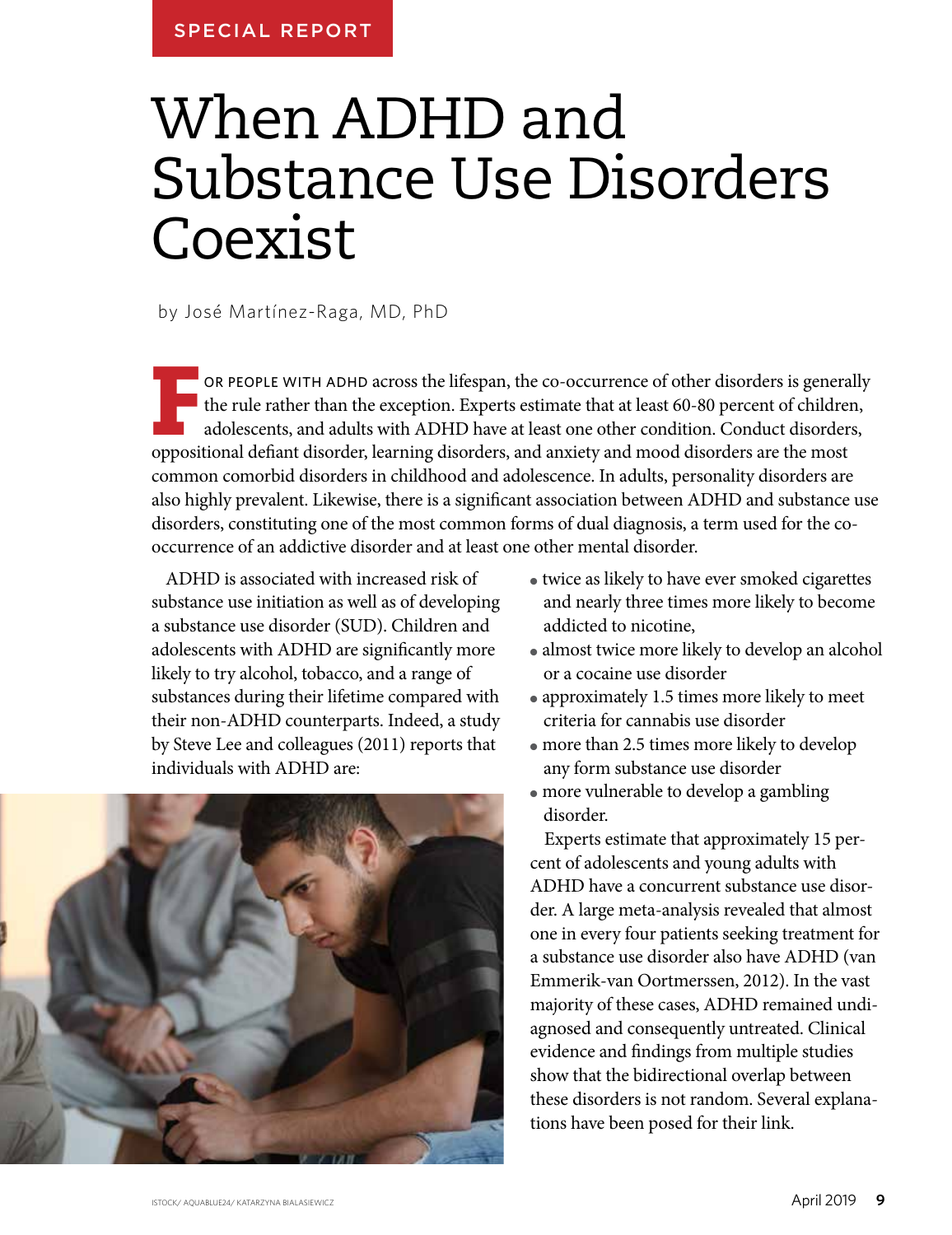# When ADHD and Substance Use Disorders Coexist

by José Martínez-Raga, MD, PhD

**F** OR PEOPLE WITH ADHD across the lifespan, the co-occurrence of other disorders is generally the rule rather than the exception. Experts estimate that at least 60-80 percent of children, adolescents, and adults with ADHD the rule rather than the exception. Experts estimate that at least 60-80 percent of children, adolescents, and adults with ADHD have at least one other condition. Conduct disorders, oppositional defiant disorder, learning disorders, and anxiety and mood disorders are the most common comorbid disorders in childhood and adolescence. In adults, personality disorders are also highly prevalent. Likewise, there is a significant association between ADHD and substance use disorders, constituting one of the most common forms of dual diagnosis, a term used for the cooccurrence of an addictive disorder and at least one other mental disorder.

ADHD is associated with increased risk of substance use initiation as well as of developing a substance use disorder (SUD). Children and adolescents with ADHD are significantly more likely to try alcohol, tobacco, and a range of substances during their lifetime compared with their non-ADHD counterparts. Indeed, a study by Steve Lee and colleagues (2011) reports that individuals with ADHD are:



- twice as likely to have ever smoked cigarettes and nearly three times more likely to become addicted to nicotine,
- almost twice more likely to develop an alcohol or a cocaine use disorder
- approximately 1.5 times more likely to meet criteria for cannabis use disorder
- $\bullet$  more than 2.5 times more likely to develop any form substance use disorder
- $\bullet$  more vulnerable to develop a gambling disorder.

Experts estimate that approximately 15 percent of adolescents and young adults with ADHD have a concurrent substance use disorder. A large meta-analysis revealed that almost one in every four patients seeking treatment for a substance use disorder also have ADHD (van Emmerik-van Oortmerssen, 2012). In the vast majority of these cases, ADHD remained undiagnosed and consequently untreated. Clinical evidence and findings from multiple studies show that the bidirectional overlap between these disorders is not random. Several explanations have been posed for their link.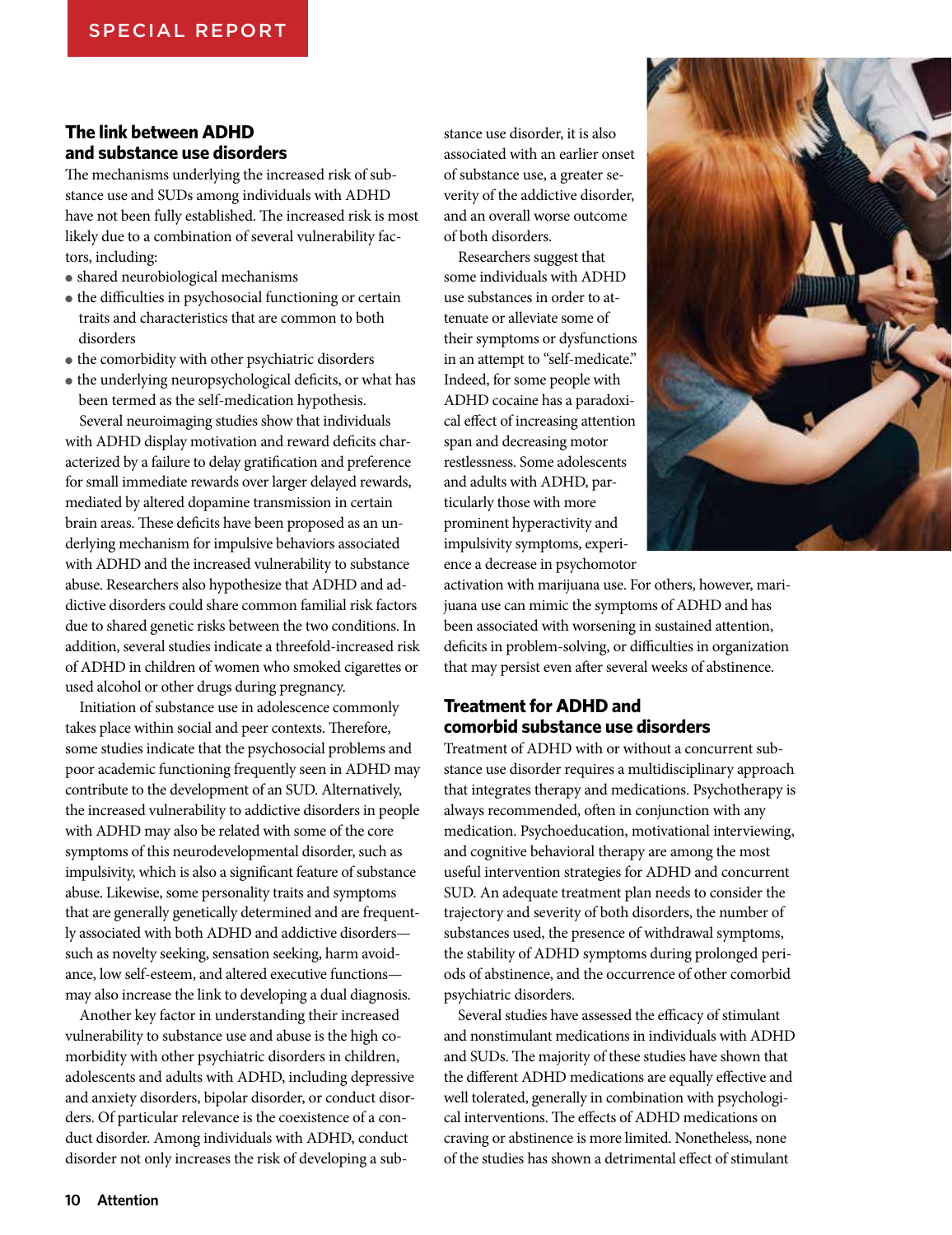### **The link between ADHD and substance use disorders**

The mechanisms underlying the increased risk of substance use and SUDs among individuals with ADHD have not been fully established. The increased risk is most likely due to a combination of several vulnerability factors, including:

- shared neurobiological mechanisms
- the difficulties in psychosocial functioning or certain traits and characteristics that are common to both disorders
- the comorbidity with other psychiatric disorders
- the underlying neuropsychological deficits, or what has been termed as the self-medication hypothesis.

Several neuroimaging studies show that individuals with ADHD display motivation and reward deficits characterized by a failure to delay gratification and preference for small immediate rewards over larger delayed rewards, mediated by altered dopamine transmission in certain brain areas. These deficits have been proposed as an underlying mechanism for impulsive behaviors associated with ADHD and the increased vulnerability to substance abuse. Researchers also hypothesize that ADHD and addictive disorders could share common familial risk factors due to shared genetic risks between the two conditions. In addition, several studies indicate a threefold-increased risk of ADHD in children of women who smoked cigarettes or used alcohol or other drugs during pregnancy.

Initiation of substance use in adolescence commonly takes place within social and peer contexts. Therefore, some studies indicate that the psychosocial problems and poor academic functioning frequently seen in ADHD may contribute to the development of an SUD. Alternatively, the increased vulnerability to addictive disorders in people with ADHD may also be related with some of the core symptoms of this neurodevelopmental disorder, such as impulsivity, which is also a significant feature of substance abuse. Likewise, some personality traits and symptoms that are generally genetically determined and are frequently associated with both ADHD and addictive disorders such as novelty seeking, sensation seeking, harm avoidance, low self-esteem, and altered executive functions may also increase the link to developing a dual diagnosis.

Another key factor in understanding their increased vulnerability to substance use and abuse is the high comorbidity with other psychiatric disorders in children, adolescents and adults with ADHD, including depressive and anxiety disorders, bipolar disorder, or conduct disorders. Of particular relevance is the coexistence of a conduct disorder. Among individuals with ADHD, conduct disorder not only increases the risk of developing a substance use disorder, it is also associated with an earlier onset of substance use, a greater severity of the addictive disorder, and an overall worse outcome of both disorders.

Researchers suggest that some individuals with ADHD use substances in order to attenuate or alleviate some of their symptoms or dysfunctions in an attempt to "self-medicate." Indeed, for some people with ADHD cocaine has a paradoxical effect of increasing attention span and decreasing motor restlessness. Some adolescents and adults with ADHD, particularly those with more prominent hyperactivity and impulsivity symptoms, experience a decrease in psychomotor



activation with marijuana use. For others, however, marijuana use can mimic the symptoms of ADHD and has been associated with worsening in sustained attention, deficits in problem-solving, or difficulties in organization that may persist even after several weeks of abstinence.

## **Treatment for ADHD and comorbid substance use disorders**

Treatment of ADHD with or without a concurrent substance use disorder requires a multidisciplinary approach that integrates therapy and medications. Psychotherapy is always recommended, often in conjunction with any medication. Psychoeducation, motivational interviewing, and cognitive behavioral therapy are among the most useful intervention strategies for ADHD and concurrent SUD. An adequate treatment plan needs to consider the trajectory and severity of both disorders, the number of substances used, the presence of withdrawal symptoms, the stability of ADHD symptoms during prolonged periods of abstinence, and the occurrence of other comorbid psychiatric disorders.

Several studies have assessed the efficacy of stimulant and nonstimulant medications in individuals with ADHD and SUDs. The majority of these studies have shown that the different ADHD medications are equally effective and well tolerated, generally in combination with psychological interventions. The effects of ADHD medications on craving or abstinence is more limited. Nonetheless, none of the studies has shown a detrimental effect of stimulant